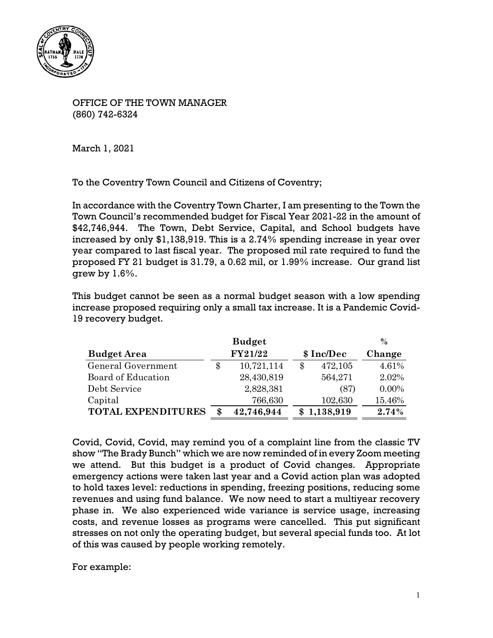

OFFICE OF THE TOWN MANAGER (860) 742-6324

March 1, 2021

To the Coventry Town Council and Citizens of Coventry;

In accordance with the Coventry Town Charter, I am presenting to the Town the Town Council's recommended budget for Fiscal Year 2021-22 in the amount of \$42,746,944. The Town, Debt Service, Capital, and School budgets have increased by only \$1,138,919. This is a 2.74% spending increase in year over year compared to last fiscal year. The proposed mil rate required to fund the proposed FY 21 budget is 31.79, a 0.62 mil, or 1.99% increase. Our grand list grew by 1.6%.

This budget cannot be seen as a normal budget season with a low spending increase proposed requiring only a small tax increase. It is a Pandemic Covid-19 recovery budget.

|                           | $\frac{6}{6}$ |            |            |             |          |
|---------------------------|---------------|------------|------------|-------------|----------|
| <b>Budget Area</b>        |               | FY21/22    | \$ Inc/Dec |             | Change   |
| General Government        | \$.           | 10,721,114 | \$         | 472,105     | 4.61%    |
| Board of Education        |               | 28,430,819 |            | 564,271     | 2.02%    |
| Debt Service              |               | 2,828,381  |            | (87)        | $0.00\%$ |
| Capital                   |               | 766,630    |            | 102,630     | 15.46%   |
| <b>TOTAL EXPENDITURES</b> | œ             | 42,746,944 |            | \$1,138,919 | 2.74%    |

Covid, Covid, Covid, may remind you of a complaint line from the classic TV show "The Brady Bunch" which we are now reminded of in every Zoom meeting we attend. But this budget is a product of Covid changes. Appropriate emergency actions were taken last year and a Covid action plan was adopted to hold taxes level: reductions in spending, freezing positions, reducing some revenues and using fund balance. We now need to start a multiyear recovery phase in. We also experienced wide variance is service usage, increasing costs, and revenue losses as programs were cancelled. This put significant stresses on not only the operating budget, but several special funds too. At lot of this was caused by people working remotely.

For example: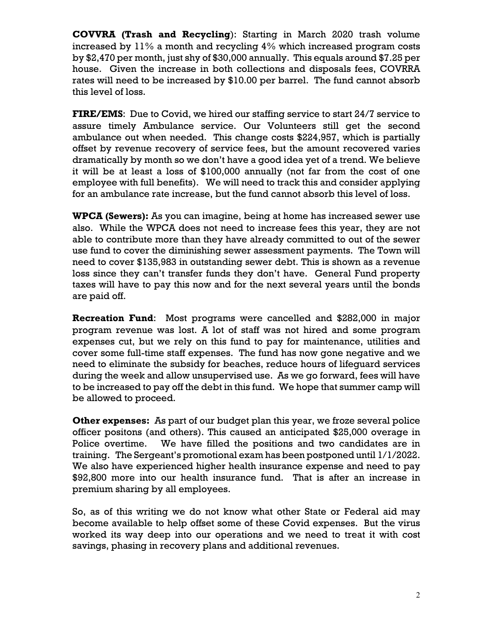**COVVRA (Trash and Recycling**): Starting in March 2020 trash volume increased by 11% a month and recycling 4% which increased program costs by \$2,470 per month, just shy of \$30,000 annually. This equals around \$7.25 per house. Given the increase in both collections and disposals fees, COVRRA rates will need to be increased by \$10.00 per barrel. The fund cannot absorb this level of loss.

**FIRE/EMS**: Due to Covid, we hired our staffing service to start 24/7 service to assure timely Ambulance service. Our Volunteers still get the second ambulance out when needed. This change costs \$224,957, which is partially offset by revenue recovery of service fees, but the amount recovered varies dramatically by month so we don't have a good idea yet of a trend. We believe it will be at least a loss of \$100,000 annually (not far from the cost of one employee with full benefits). We will need to track this and consider applying for an ambulance rate increase, but the fund cannot absorb this level of loss.

**WPCA (Sewers):** As you can imagine, being at home has increased sewer use also. While the WPCA does not need to increase fees this year, they are not able to contribute more than they have already committed to out of the sewer use fund to cover the diminishing sewer assessment payments. The Town will need to cover \$135,983 in outstanding sewer debt. This is shown as a revenue loss since they can't transfer funds they don't have. General Fund property taxes will have to pay this now and for the next several years until the bonds are paid off.

**Recreation Fund**: Most programs were cancelled and \$282,000 in major program revenue was lost. A lot of staff was not hired and some program expenses cut, but we rely on this fund to pay for maintenance, utilities and cover some full-time staff expenses. The fund has now gone negative and we need to eliminate the subsidy for beaches, reduce hours of lifeguard services during the week and allow unsupervised use. As we go forward, fees will have to be increased to pay off the debt in this fund. We hope that summer camp will be allowed to proceed.

**Other expenses:** As part of our budget plan this year, we froze several police officer positons (and others). This caused an anticipated \$25,000 overage in Police overtime. We have filled the positions and two candidates are in training. The Sergeant's promotional exam has been postponed until 1/1/2022. We also have experienced higher health insurance expense and need to pay \$92,800 more into our health insurance fund. That is after an increase in premium sharing by all employees.

So, as of this writing we do not know what other State or Federal aid may become available to help offset some of these Covid expenses. But the virus worked its way deep into our operations and we need to treat it with cost savings, phasing in recovery plans and additional revenues.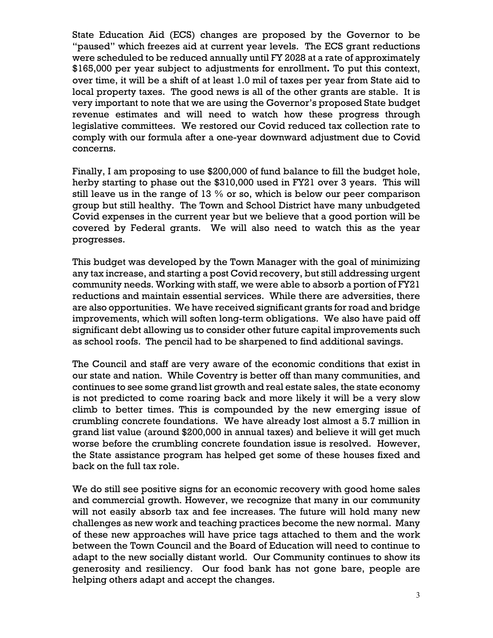State Education Aid (ECS) changes are proposed by the Governor to be "paused" which freezes aid at current year levels. The ECS grant reductions were scheduled to be reduced annually until FY 2028 at a rate of approximately \$165,000 per year subject to adjustments for enrollment**.** To put this context, over time, it will be a shift of at least 1.0 mil of taxes per year from State aid to local property taxes. The good news is all of the other grants are stable. It is very important to note that we are using the Governor's proposed State budget revenue estimates and will need to watch how these progress through legislative committees. We restored our Covid reduced tax collection rate to comply with our formula after a one-year downward adjustment due to Covid concerns.

Finally, I am proposing to use \$200,000 of fund balance to fill the budget hole, herby starting to phase out the \$310,000 used in FY21 over 3 years. This will still leave us in the range of 13 % or so, which is below our peer comparison group but still healthy. The Town and School District have many unbudgeted Covid expenses in the current year but we believe that a good portion will be covered by Federal grants. We will also need to watch this as the year progresses.

This budget was developed by the Town Manager with the goal of minimizing any tax increase, and starting a post Covid recovery, but still addressing urgent community needs. Working with staff, we were able to absorb a portion of FY21 reductions and maintain essential services. While there are adversities, there are also opportunities. We have received significant grants for road and bridge improvements, which will soften long-term obligations. We also have paid off significant debt allowing us to consider other future capital improvements such as school roofs. The pencil had to be sharpened to find additional savings.

The Council and staff are very aware of the economic conditions that exist in our state and nation. While Coventry is better off than many communities, and continues to see some grand list growth and real estate sales, the state economy is not predicted to come roaring back and more likely it will be a very slow climb to better times. This is compounded by the new emerging issue of crumbling concrete foundations. We have already lost almost a 5.7 million in grand list value (around \$200,000 in annual taxes) and believe it will get much worse before the crumbling concrete foundation issue is resolved. However, the State assistance program has helped get some of these houses fixed and back on the full tax role.

We do still see positive signs for an economic recovery with good home sales and commercial growth. However, we recognize that many in our community will not easily absorb tax and fee increases. The future will hold many new challenges as new work and teaching practices become the new normal. Many of these new approaches will have price tags attached to them and the work between the Town Council and the Board of Education will need to continue to adapt to the new socially distant world. Our Community continues to show its generosity and resiliency. Our food bank has not gone bare, people are helping others adapt and accept the changes.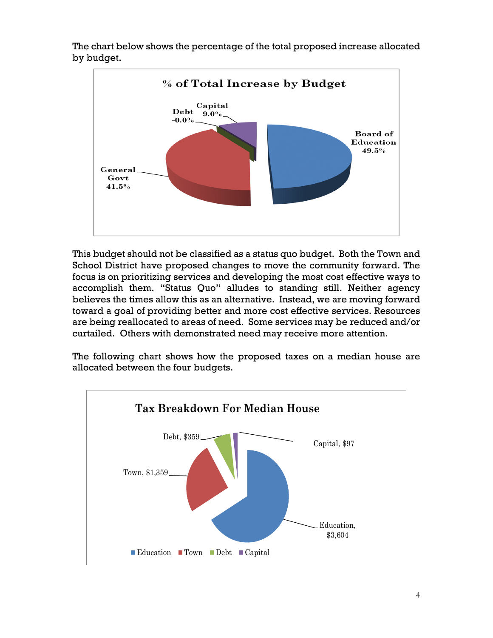

The chart below shows the percentage of the total proposed increase allocated by budget.

This budget should not be classified as a status quo budget. Both the Town and School District have proposed changes to move the community forward. The focus is on prioritizing services and developing the most cost effective ways to accomplish them. "Status Quo" alludes to standing still. Neither agency believes the times allow this as an alternative. Instead, we are moving forward toward a goal of providing better and more cost effective services. Resources are being reallocated to areas of need. Some services may be reduced and/or curtailed. Others with demonstrated need may receive more attention.

The following chart shows how the proposed taxes on a median house are allocated between the four budgets.

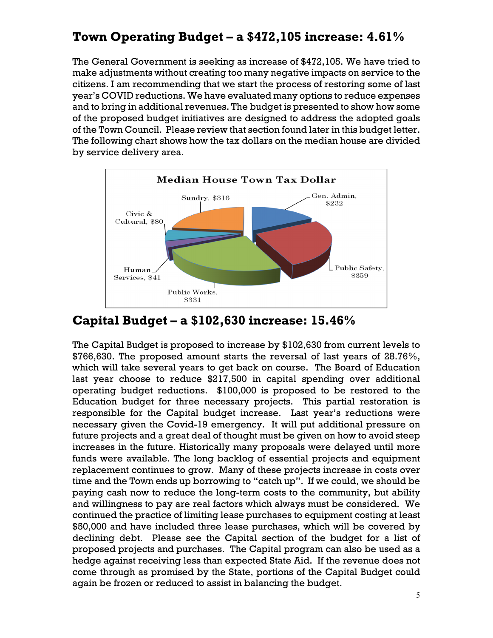## **Town Operating Budget – a \$472,105 increase: 4.61%**

The General Government is seeking as increase of \$472,105. We have tried to make adjustments without creating too many negative impacts on service to the citizens. I am recommending that we start the process of restoring some of last year's COVID reductions. We have evaluated many options to reduce expenses and to bring in additional revenues. The budget is presented to show how some of the proposed budget initiatives are designed to address the adopted goals of the Town Council. Please review that section found later in this budget letter. The following chart shows how the tax dollars on the median house are divided by service delivery area.



## **Capital Budget – a \$102,630 increase: 15.46%**

The Capital Budget is proposed to increase by \$102,630 from current levels to \$766,630. The proposed amount starts the reversal of last years of 28.76%, which will take several years to get back on course. The Board of Education last year choose to reduce \$217,500 in capital spending over additional operating budget reductions. \$100,000 is proposed to be restored to the Education budget for three necessary projects. This partial restoration is responsible for the Capital budget increase. Last year's reductions were necessary given the Covid-19 emergency. It will put additional pressure on future projects and a great deal of thought must be given on how to avoid steep increases in the future. Historically many proposals were delayed until more funds were available. The long backlog of essential projects and equipment replacement continues to grow. Many of these projects increase in costs over time and the Town ends up borrowing to "catch up". If we could, we should be paying cash now to reduce the long-term costs to the community, but ability and willingness to pay are real factors which always must be considered. We continued the practice of limiting lease purchases to equipment costing at least \$50,000 and have included three lease purchases, which will be covered by declining debt. Please see the Capital section of the budget for a list of proposed projects and purchases. The Capital program can also be used as a hedge against receiving less than expected State Aid. If the revenue does not come through as promised by the State, portions of the Capital Budget could again be frozen or reduced to assist in balancing the budget.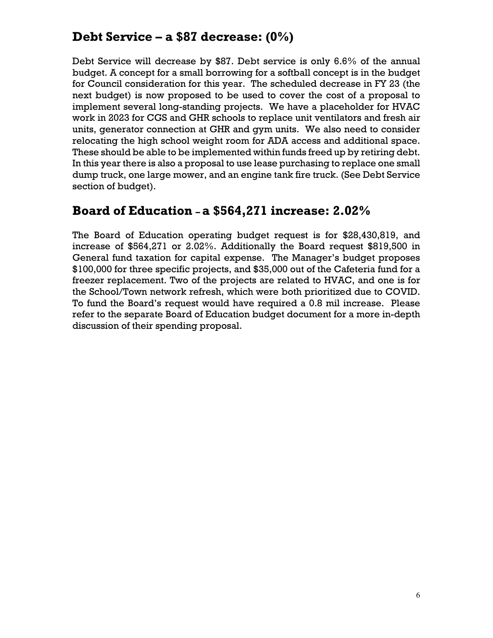# **Debt Service – a \$87 decrease: (0%)**

Debt Service will decrease by \$87. Debt service is only 6.6% of the annual budget. A concept for a small borrowing for a softball concept is in the budget for Council consideration for this year. The scheduled decrease in FY 23 (the next budget) is now proposed to be used to cover the cost of a proposal to implement several long-standing projects. We have a placeholder for HVAC work in 2023 for CGS and GHR schools to replace unit ventilators and fresh air units, generator connection at GHR and gym units. We also need to consider relocating the high school weight room for ADA access and additional space. These should be able to be implemented within funds freed up by retiring debt. In this year there is also a proposal to use lease purchasing to replace one small dump truck, one large mower, and an engine tank fire truck. (See Debt Service section of budget).

### **Board of Education – a \$564,271 increase: 2.02%**

The Board of Education operating budget request is for \$28,430,819, and increase of \$564,271 or 2.02%. Additionally the Board request \$819,500 in General fund taxation for capital expense. The Manager's budget proposes \$100,000 for three specific projects, and \$35,000 out of the Cafeteria fund for a freezer replacement. Two of the projects are related to HVAC, and one is for the School/Town network refresh, which were both prioritized due to COVID. To fund the Board's request would have required a 0.8 mil increase. Please refer to the separate Board of Education budget document for a more in-depth discussion of their spending proposal.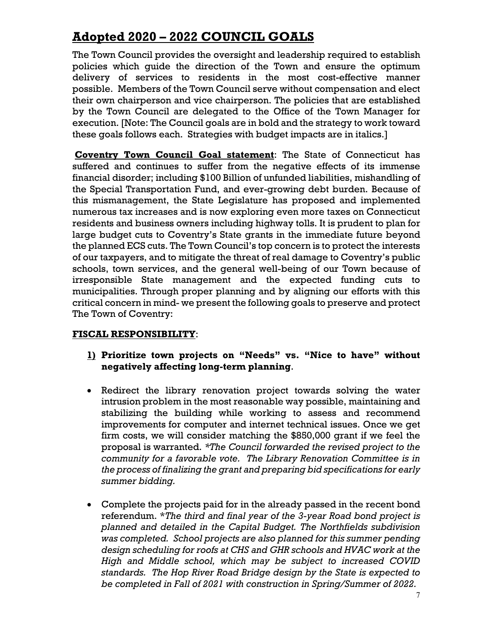# **Adopted 2020 – 2022 COUNCIL GOALS**

The Town Council provides the oversight and leadership required to establish policies which guide the direction of the Town and ensure the optimum delivery of services to residents in the most cost-effective manner possible. Members of the Town Council serve without compensation and elect their own chairperson and vice chairperson. The policies that are established by the Town Council are delegated to the Office of the Town Manager for execution. [Note: The Council goals are in bold and the strategy to work toward these goals follows each. Strategies with budget impacts are in italics.]

**Coventry Town Council Goal statement**: The State of Connecticut has suffered and continues to suffer from the negative effects of its immense financial disorder; including \$100 Billion of unfunded liabilities, mishandling of the Special Transportation Fund, and ever-growing debt burden. Because of this mismanagement, the State Legislature has proposed and implemented numerous tax increases and is now exploring even more taxes on Connecticut residents and business owners including highway tolls. It is prudent to plan for large budget cuts to Coventry's State grants in the immediate future beyond the planned ECS cuts. The Town Council's top concern is to protect the interests of our taxpayers, and to mitigate the threat of real damage to Coventry's public schools, town services, and the general well-being of our Town because of irresponsible State management and the expected funding cuts to municipalities. Through proper planning and by aligning our efforts with this critical concern in mind- we present the following goals to preserve and protect The Town of Coventry:

### **FISCAL RESPONSIBILITY**:

- **1) Prioritize town projects on "Needs" vs. "Nice to have" without negatively affecting long-term planning**.
- Redirect the library renovation project towards solving the water intrusion problem in the most reasonable way possible, maintaining and stabilizing the building while working to assess and recommend improvements for computer and internet technical issues. Once we get firm costs, we will consider matching the \$850,000 grant if we feel the proposal is warranted. *\*The Council forwarded the revised project to the community for a favorable vote. The Library Renovation Committee is in the process of finalizing the grant and preparing bid specifications for early summer bidding.*
- Complete the projects paid for in the already passed in the recent bond referendum. \**The third and final year of the 3-year Road bond project is planned and detailed in the Capital Budget. The Northfields subdivision was completed. School projects are also planned for this summer pending design scheduling for roofs at CHS and GHR schools and HVAC work at the High and Middle school, which may be subject to increased COVID standards. The Hop River Road Bridge design by the State is expected to be completed in Fall of 2021 with construction in Spring/Summer of 2022.*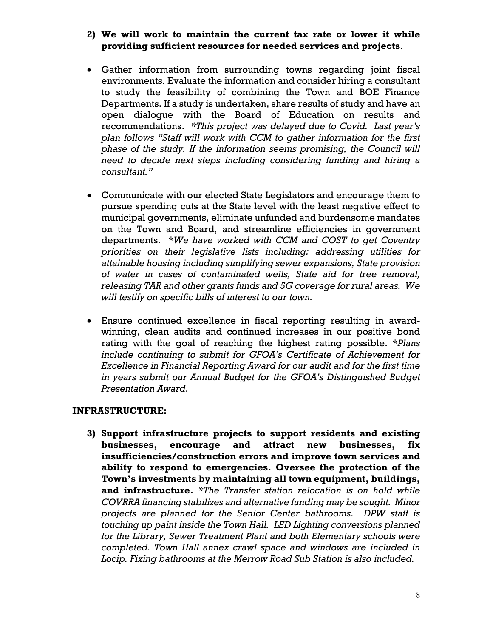### **2) We will work to maintain the current tax rate or lower it while providing sufficient resources for needed services and projects**.

- Gather information from surrounding towns regarding joint fiscal environments. Evaluate the information and consider hiring a consultant to study the feasibility of combining the Town and BOE Finance Departments. If a study is undertaken, share results of study and have an open dialogue with the Board of Education on results and recommendations. *\*This project was delayed due to Covid. Last year's plan follows "Staff will work with CCM to gather information for the first phase of the study. If the information seems promising, the Council will need to decide next steps including considering funding and hiring a consultant."*
- Communicate with our elected State Legislators and encourage them to pursue spending cuts at the State level with the least negative effect to municipal governments, eliminate unfunded and burdensome mandates on the Town and Board, and streamline efficiencies in government departments. \**We have worked with CCM and COST to get Coventry priorities on their legislative lists including: addressing utilities for attainable housing including simplifying sewer expansions, State provision of water in cases of contaminated wells, State aid for tree removal, releasing TAR and other grants funds and 5G coverage for rural areas. We will testify on specific bills of interest to our town.*
- Ensure continued excellence in fiscal reporting resulting in awardwinning, clean audits and continued increases in our positive bond rating with the goal of reaching the highest rating possible. \**Plans include continuing to submit for GFOA's Certificate of Achievement for Excellence in Financial Reporting Award for our audit and for the first time in years submit our Annual Budget for the GFOA's Distinguished Budget Presentation Award*.

#### **INFRASTRUCTURE:**

**3) Support infrastructure projects to support residents and existing businesses, encourage and attract new businesses, fix insufficiencies/construction errors and improve town services and ability to respond to emergencies. Oversee the protection of the Town's investments by maintaining all town equipment, buildings, and infrastructure.** *\*The Transfer station relocation is on hold while COVRRA financing stabilizes and alternative funding may be sought. Minor projects are planned for the Senior Center bathrooms. DPW staff is touching up paint inside the Town Hall. LED Lighting conversions planned for the Library, Sewer Treatment Plant and both Elementary schools were completed. Town Hall annex crawl space and windows are included in Locip. Fixing bathrooms at the Merrow Road Sub Station is also included.*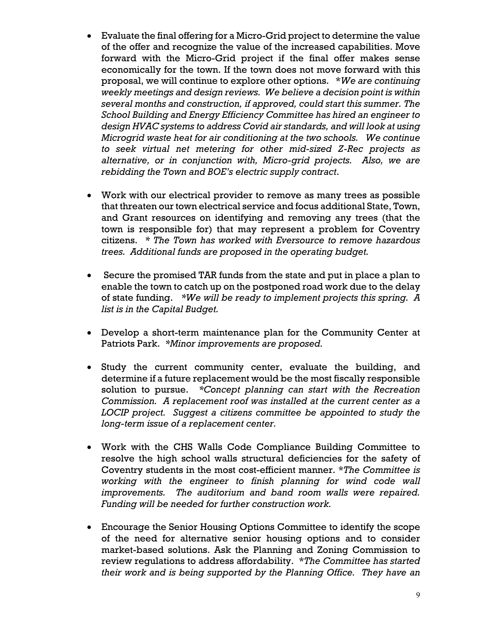- Evaluate the final offering for a Micro-Grid project to determine the value of the offer and recognize the value of the increased capabilities. Move forward with the Micro-Grid project if the final offer makes sense economically for the town. If the town does not move forward with this proposal, we will continue to explore other options. \**We are continuing weekly meetings and design reviews. We believe a decision point is within several months and construction, if approved, could start this summer. The School Building and Energy Efficiency Committee has hired an engineer to design HVAC systems to address Covid air standards, and will look at using Microgrid waste heat for air conditioning at the two schools. We continue to seek virtual net metering for other mid-sized Z-Rec projects as alternative, or in conjunction with, Micro-grid projects. Also, we are rebidding the Town and BOE's electric supply contract*.
- Work with our electrical provider to remove as many trees as possible that threaten our town electrical service and focus additional State, Town, and Grant resources on identifying and removing any trees (that the town is responsible for) that may represent a problem for Coventry citizens. *\* The Town has worked with Eversource to remove hazardous trees. Additional funds are proposed in the operating budget.*
- Secure the promised TAR funds from the state and put in place a plan to enable the town to catch up on the postponed road work due to the delay of state funding. *\*We will be ready to implement projects this spring. A list is in the Capital Budget.*
- Develop a short-term maintenance plan for the Community Center at Patriots Park. *\*Minor improvements are proposed.*
- Study the current community center, evaluate the building, and determine if a future replacement would be the most fiscally responsible solution to pursue. *\*Concept planning can start with the Recreation Commission. A replacement roof was installed at the current center as a LOCIP project. Suggest a citizens committee be appointed to study the long-term issue of a replacement center.*
- Work with the CHS Walls Code Compliance Building Committee to resolve the high school walls structural deficiencies for the safety of Coventry students in the most cost-efficient manner. \**The Committee is working with the engineer to finish planning for wind code wall improvements. The auditorium and band room walls were repaired. Funding will be needed for further construction work.*
- Encourage the Senior Housing Options Committee to identify the scope of the need for alternative senior housing options and to consider market-based solutions. Ask the Planning and Zoning Commission to review regulations to address affordability. \**The Committee has started their work and is being supported by the Planning Office. They have an*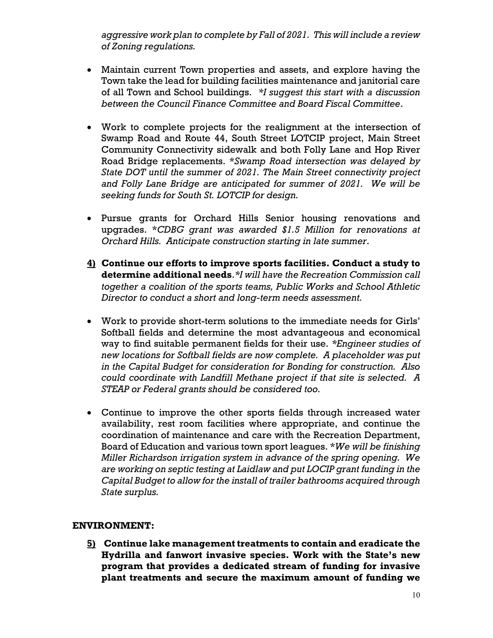*aggressive work plan to complete by Fall of 2021. This will include a review of Zoning regulations.*

- Maintain current Town properties and assets, and explore having the Town take the lead for building facilities maintenance and janitorial care of all Town and School buildings. *\*I suggest this start with a discussion between the Council Finance Committee and Board Fiscal Committee*.
- Work to complete projects for the realignment at the intersection of Swamp Road and Route 44, South Street LOTCIP project, Main Street Community Connectivity sidewalk and both Folly Lane and Hop River Road Bridge replacements. \**Swamp Road intersection was delayed by State DOT until the summer of 2021. The Main Street connectivity project and Folly Lane Bridge are anticipated for summer of 2021. We will be seeking funds for South St. LOTCIP for design.*
- Pursue grants for Orchard Hills Senior housing renovations and upgrades. \**CDBG grant was awarded \$1.5 Million for renovations at Orchard Hills. Anticipate construction starting in late summer*.
- **4) Continue our efforts to improve sports facilities. Conduct a study to determine additional needs**.*\*I will have the Recreation Commission call together a coalition of the sports teams, Public Works and School Athletic Director to conduct a short and long-term needs assessment.*
- Work to provide short-term solutions to the immediate needs for Girls' Softball fields and determine the most advantageous and economical way to find suitable permanent fields for their use. *\*Engineer studies of new locations for Softball fields are now complete. A placeholder was put in the Capital Budget for consideration for Bonding for construction. Also could coordinate with Landfill Methane project if that site is selected. A STEAP or Federal grants should be considered too.*
- Continue to improve the other sports fields through increased water availability, rest room facilities where appropriate, and continue the coordination of maintenance and care with the Recreation Department, Board of Education and various town sport leagues. \**We will be finishing Miller Richardson irrigation system in advance of the spring opening. We are working on septic testing at Laidlaw and put LOCIP grant funding in the Capital Budget to allow for the install of trailer bathrooms acquired through State surplus.*

### **ENVIRONMENT:**

**5) Continue lake management treatments to contain and eradicate the Hydrilla and fanwort invasive species. Work with the State's new program that provides a dedicated stream of funding for invasive plant treatments and secure the maximum amount of funding we**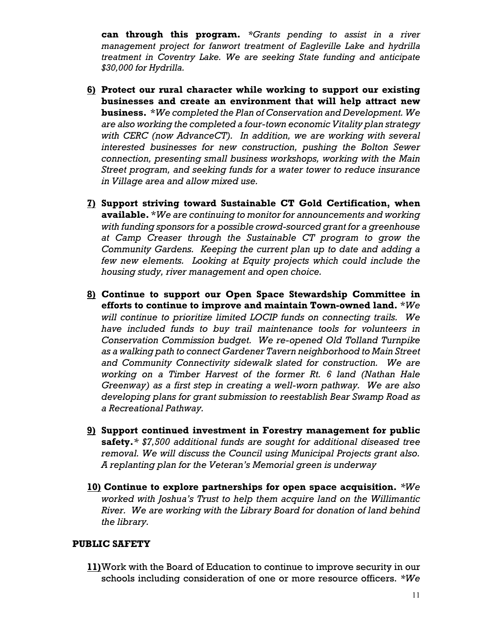**can through this program.** *\*Grants pending to assist in a river management project for fanwort treatment of Eagleville Lake and hydrilla treatment in Coventry Lake. We are seeking State funding and anticipate \$30,000 for Hydrilla.*

- **6) Protect our rural character while working to support our existing businesses and create an environment that will help attract new business.** \**We completed the Plan of Conservation and Development. We are also working the completed a four-town economic Vitality plan strategy with CERC (now AdvanceCT). In addition, we are working with several interested businesses for new construction, pushing the Bolton Sewer connection, presenting small business workshops, working with the Main Street program, and seeking funds for a water tower to reduce insurance in Village area and allow mixed use.*
- **7) Support striving toward Sustainable CT Gold Certification, when available.** \**We are continuing to monitor for announcements and working with funding sponsors for a possible crowd-sourced grant for a greenhouse at Camp Creaser through the Sustainable CT program to grow the Community Gardens. Keeping the current plan up to date and adding a few new elements. Looking at Equity projects which could include the housing study, river management and open choice.*
- **8) Continue to support our Open Space Stewardship Committee in efforts to continue to improve and maintain Town-owned land.** \**We will continue to prioritize limited LOCIP funds on connecting trails. We have included funds to buy trail maintenance tools for volunteers in Conservation Commission budget. We re-opened Old Tolland Turnpike as a walking path to connect Gardener Tavern neighborhood to Main Street and Community Connectivity sidewalk slated for construction. We are working on a Timber Harvest of the former Rt. 6 land (Nathan Hale Greenway) as a first step in creating a well-worn pathway. We are also developing plans for grant submission to reestablish Bear Swamp Road as a Recreational Pathway.*
- **9) Support continued investment in Forestry management for public safety.***\* \$7,500 additional funds are sought for additional diseased tree removal. We will discuss the Council using Municipal Projects grant also. A replanting plan for the Veteran's Memorial green is underway*
- **10) Continue to explore partnerships for open space acquisition.** *\*We worked with Joshua's Trust to help them acquire land on the Willimantic River. We are working with the Library Board for donation of land behind the library.*

#### **PUBLIC SAFETY**

**11)**Work with the Board of Education to continue to improve security in our schools including consideration of one or more resource officers. *\*We*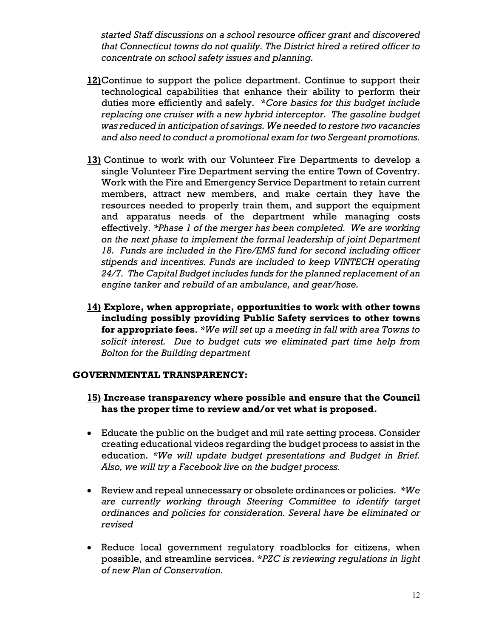*started Staff discussions on a school resource officer grant and discovered that Connecticut towns do not qualify. The District hired a retired officer to concentrate on school safety issues and planning.* 

- **12)**Continue to support the police department. Continue to support their technological capabilities that enhance their ability to perform their duties more efficiently and safely. \**Core basics for this budget include replacing one cruiser with a new hybrid interceptor. The gasoline budget was reduced in anticipation of savings. We needed to restore two vacancies and also need to conduct a promotional exam for two Sergeant promotions.*
- **13)** Continue to work with our Volunteer Fire Departments to develop a single Volunteer Fire Department serving the entire Town of Coventry. Work with the Fire and Emergency Service Department to retain current members, attract new members, and make certain they have the resources needed to properly train them, and support the equipment and apparatus needs of the department while managing costs effectively. *\*Phase 1 of the merger has been completed. We are working on the next phase to implement the formal leadership of joint Department 18. Funds are included in the Fire/EMS fund for second including officer stipends and incentives. Funds are included to keep VINTECH operating 24/7. The Capital Budget includes funds for the planned replacement of an engine tanker and rebuild of an ambulance, and gear/hose.*
- **14) Explore, when appropriate, opportunities to work with other towns including possibly providing Public Safety services to other towns for appropriate fees**. *\*We will set up a meeting in fall with area Towns to solicit interest. Due to budget cuts we eliminated part time help from Bolton for the Building department*

#### **GOVERNMENTAL TRANSPARENCY:**

- **15) Increase transparency where possible and ensure that the Council has the proper time to review and/or vet what is proposed.**
- Educate the public on the budget and mil rate setting process. Consider creating educational videos regarding the budget process to assist in the education. *\*We will update budget presentations and Budget in Brief. Also, we will try a Facebook live on the budget process.*
- Review and repeal unnecessary or obsolete ordinances or policies. *\*We are currently working through Steering Committee to identify target ordinances and policies for consideration. Several have be eliminated or revised*
- Reduce local government regulatory roadblocks for citizens, when possible, and streamline services. \**PZC is reviewing regulations in light of new Plan of Conservation.*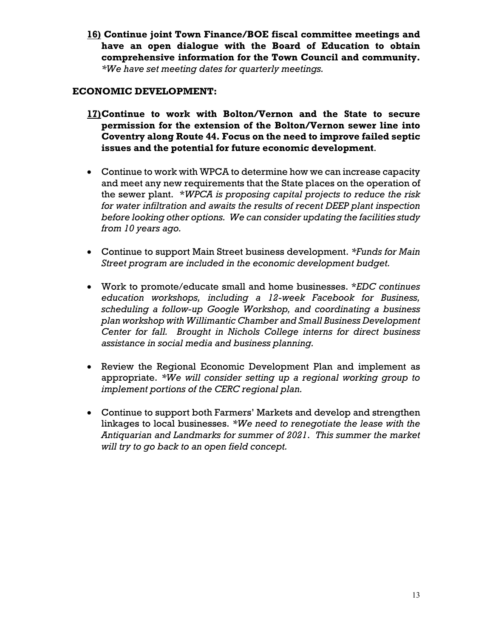**16) Continue joint Town Finance/BOE fiscal committee meetings and have an open dialogue with the Board of Education to obtain comprehensive information for the Town Council and community.** *\*We have set meeting dates for quarterly meetings.*

### **ECONOMIC DEVELOPMENT:**

- **17)Continue to work with Bolton/Vernon and the State to secure permission for the extension of the Bolton/Vernon sewer line into Coventry along Route 44. Focus on the need to improve failed septic issues and the potential for future economic development**.
- Continue to work with WPCA to determine how we can increase capacity and meet any new requirements that the State places on the operation of the sewer plant. \**WPCA is proposing capital projects to reduce the risk for water infiltration and awaits the results of recent DEEP plant inspection before looking other options. We can consider updating the facilities study from 10 years ago.*
- Continue to support Main Street business development. *\*Funds for Main Street program are included in the economic development budget.*
- Work to promote/educate small and home businesses. \**EDC continues education workshops, including a 12-week Facebook for Business, scheduling a follow-up Google Workshop, and coordinating a business plan workshop with Willimantic Chamber and Small Business Development Center for fall. Brought in Nichols College interns for direct business assistance in social media and business planning.*
- Review the Regional Economic Development Plan and implement as appropriate. *\*We will consider setting up a regional working group to implement portions of the CERC regional plan.*
- Continue to support both Farmers' Markets and develop and strengthen linkages to local businesses. *\*We need to renegotiate the lease with the Antiquarian and Landmarks for summer of 2021*. *This summer the market will try to go back to an open field concept.*